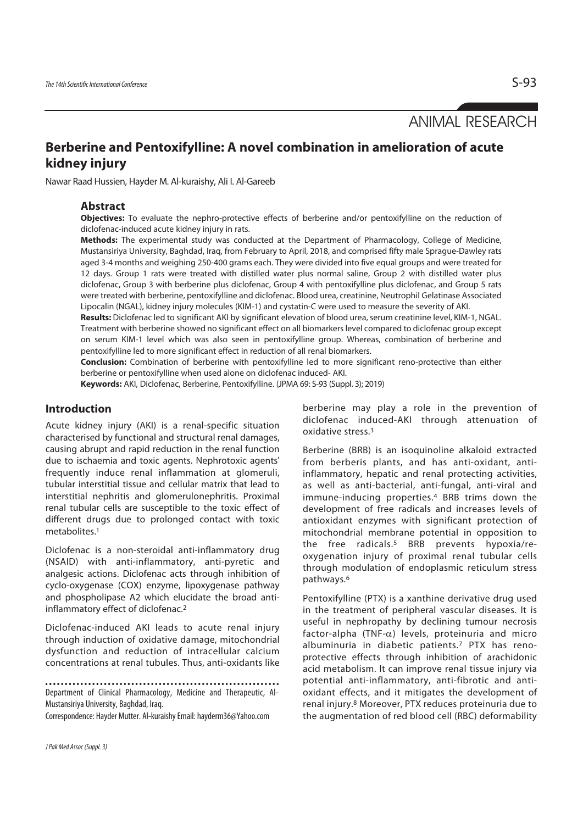ANIMAL RESEARCH

# **Berberine and Pentoxifylline: A novel combination in amelioration of acute kidney injury**

Nawar Raad Hussien, Hayder M. Al-kuraishy, Ali I. Al-Gareeb

### **Abstract**

**Objectives:** To evaluate the nephro-protective effects of berberine and/or pentoxifylline on the reduction of diclofenac-induced acute kidney injury in rats.

**Methods:** The experimental study was conducted at the Department of Pharmacology, College of Medicine, Mustansiriya University, Baghdad, Iraq, from February to April, 2018, and comprised fifty male Sprague-Dawley rats aged 3-4 months and weighing 250-400 grams each. They were divided into five equal groups and were treated for 12 days. Group 1 rats were treated with distilled water plus normal saline, Group 2 with distilled water plus diclofenac, Group 3 with berberine plus diclofenac, Group 4 with pentoxifylline plus diclofenac, and Group 5 rats were treated with berberine, pentoxifylline and diclofenac. Blood urea, creatinine, Neutrophil Gelatinase Associated Lipocalin (NGAL), kidney injury molecules (KIM-1) and cystatin-C were used to measure the severity of AKI.

**Results:** Diclofenac led to significant AKI by significant elevation of blood urea, serum creatinine level, KIM-1, NGAL. Treatment with berberine showed no significant effect on all biomarkers level compared to diclofenac group except on serum KIM-1 level which was also seen in pentoxifylline group. Whereas, combination of berberine and pentoxifylline led to more significant effect in reduction of all renal biomarkers.

**Conclusion:** Combination of berberine with pentoxifylline led to more significant reno-protective than either berberine or pentoxifylline when used alone on diclofenac induced- AKI.

**Keywords:** AKI, Diclofenac, Berberine, Pentoxifylline. (JPMA 69: S-93 (Suppl. 3); 2019)

# **Introduction**

Acute kidney injury (AKI) is a renal-specific situation characterised by functional and structural renal damages, causing abrupt and rapid reduction in the renal function due to ischaemia and toxic agents. Nephrotoxic agents' frequently induce renal inflammation at glomeruli, tubular interstitial tissue and cellular matrix that lead to interstitial nephritis and glomerulonephritis. Proximal renal tubular cells are susceptible to the toxic effect of different drugs due to prolonged contact with toxic metabolites.1

Diclofenac is a non-steroidal anti-inflammatory drug (NSAID) with anti-inflammatory, anti-pyretic and analgesic actions. Diclofenac acts through inhibition of cyclo-oxygenase (COX) enzyme, lipoxygenase pathway and phospholipase A2 which elucidate the broad antiinflammatory effect of diclofenac.2

Diclofenac-induced AKI leads to acute renal injury through induction of oxidative damage, mitochondrial dysfunction and reduction of intracellular calcium concentrations at renal tubules. Thus, anti-oxidants like

Department of Clinical Pharmacology, Medicine and Therapeutic, Al-Mustansiriya University, Baghdad, Iraq.

Correspondence: Hayder Mutter. Al-kuraishy Email: hayderm36@Yahoo.com

berberine may play a role in the prevention of diclofenac induced-AKI through attenuation of oxidative stress.3

Berberine (BRB) is an isoquinoline alkaloid extracted from berberis plants, and has anti-oxidant, antiinflammatory, hepatic and renal protecting activities, as well as anti-bacterial, anti-fungal, anti-viral and immune-inducing properties.4 BRB trims down the development of free radicals and increases levels of antioxidant enzymes with significant protection of mitochondrial membrane potential in opposition to the free radicals.5 BRB prevents hypoxia/reoxygenation injury of proximal renal tubular cells through modulation of endoplasmic reticulum stress pathways.6

Pentoxifylline (PTX) is a xanthine derivative drug used in the treatment of peripheral vascular diseases. It is useful in nephropathy by declining tumour necrosis factor-alpha (TNF- $\alpha$ ) levels, proteinuria and micro albuminuria in diabetic patients.7 PTX has renoprotective effects through inhibition of arachidonic acid metabolism. It can improve renal tissue injury via potential anti-inflammatory, anti-fibrotic and antioxidant effects, and it mitigates the development of renal injury.8 Moreover, PTX reduces proteinuria due to the augmentation of red blood cell (RBC) deformability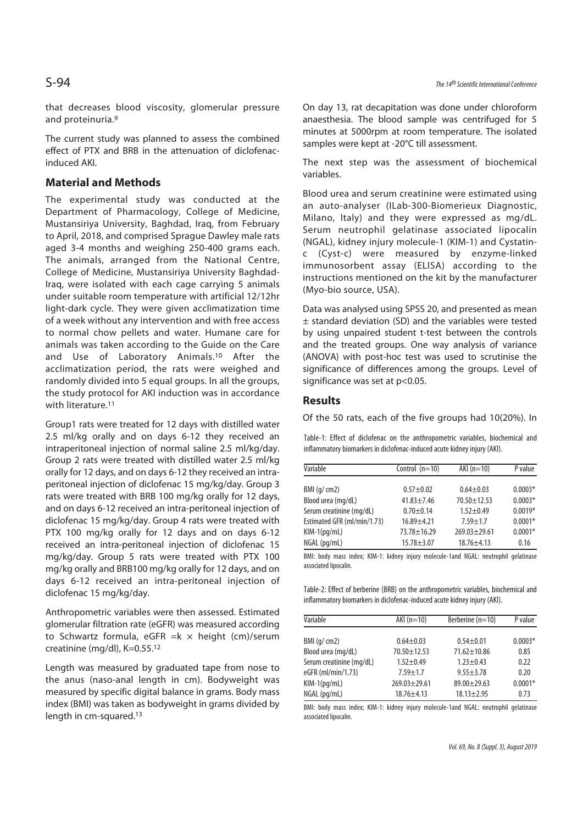that decreases blood viscosity, glomerular pressure and proteinuria.9

The current study was planned to assess the combined effect of PTX and BRB in the attenuation of diclofenacinduced AKI.

# **Material and Methods**

The experimental study was conducted at the Department of Pharmacology, College of Medicine, Mustansiriya University, Baghdad, Iraq, from February to April, 2018, and comprised Sprague Dawley male rats aged 3-4 months and weighing 250-400 grams each. The animals, arranged from the National Centre, College of Medicine, Mustansiriya University Baghdad-Iraq, were isolated with each cage carrying 5 animals under suitable room temperature with artificial 12/12hr light-dark cycle. They were given acclimatization time of a week without any intervention and with free access to normal chow pellets and water. Humane care for animals was taken according to the Guide on the Care and Use of Laboratory Animals.10 After the acclimatization period, the rats were weighed and randomly divided into 5 equal groups. In all the groups, the study protocol for AKI induction was in accordance with literature.<sup>11</sup>

Group1 rats were treated for 12 days with distilled water 2.5 ml/kg orally and on days 6-12 they received an intraperitoneal injection of normal saline 2.5 ml/kg/day. Group 2 rats were treated with distilled water 2.5 ml/kg orally for 12 days, and on days 6-12 they received an intraperitoneal injection of diclofenac 15 mg/kg/day. Group 3 rats were treated with BRB 100 mg/kg orally for 12 days, and on days 6-12 received an intra-peritoneal injection of diclofenac 15 mg/kg/day. Group 4 rats were treated with PTX 100 mg/kg orally for 12 days and on days 6-12 received an intra-peritoneal injection of diclofenac 15 mg/kg/day. Group 5 rats were treated with PTX 100 mg/kg orally and BRB100 mg/kg orally for 12 days, and on days 6-12 received an intra-peritoneal injection of diclofenac 15 mg/kg/day.

Anthropometric variables were then assessed. Estimated glomerular filtration rate (eGFR) was measured according to Schwartz formula, eGFR = $k \times$  height (cm)/serum creatinine (mg/dl), K=0.55.12

Length was measured by graduated tape from nose to the anus (naso-anal length in cm). Bodyweight was measured by specific digital balance in grams. Body mass index (BMI) was taken as bodyweight in grams divided by length in cm-squared.13

On day 13, rat decapitation was done under chloroform anaesthesia. The blood sample was centrifuged for 5 minutes at 5000rpm at room temperature. The isolated samples were kept at -20°C till assessment.

The next step was the assessment of biochemical variables.

Blood urea and serum creatinine were estimated using an auto-analyser (ILab-300-Biomerieux Diagnostic, Milano, Italy) and they were expressed as mg/dL. Serum neutrophil gelatinase associated lipocalin (NGAL), kidney injury molecule-1 (KIM-1) and Cystatinc (Cyst-c) were measured by enzyme-linked immunosorbent assay (ELISA) according to the instructions mentioned on the kit by the manufacturer (Myo-bio source, USA).

Data was analysed using SPSS 20, and presented as mean ± standard deviation (SD) and the variables were tested by using unpaired student t-test between the controls and the treated groups. One way analysis of variance (ANOVA) with post-hoc test was used to scrutinise the significance of differences among the groups. Level of significance was set at p<0.05.

# **Results**

Of the 50 rats, each of the five groups had 10(20%). In

Table-1: Effect of diclofenac on the anthropometric variables, biochemical and inflammatory biomarkers in diclofenac-induced acute kidney injury (AKI).

| Variable                    | Control $(n=10)$ | $AKI(n=10)$       | P value   |
|-----------------------------|------------------|-------------------|-----------|
|                             |                  |                   |           |
| BMI (q/cm2)                 | $0.57 + 0.02$    | $0.64 + 0.03$     | $0.0003*$ |
| Blood urea (mg/dL)          | $41.83 + 7.46$   | $70.50 \pm 12.53$ | $0.0003*$ |
| Serum creatinine (mg/dL)    | $0.70 + 0.14$    | $1.52 + 0.49$     | $0.0019*$ |
| Estimated GFR (ml/min/1.73) | $16.89 + 4.21$   | $7.59 + 1.7$      | $0.0001*$ |
| $KIM-1(pq/mL)$              | $73.78 + 16.29$  | $269.03 + 29.61$  | $0.0001*$ |
| NGAL (pg/mL)                | $15.78 + 3.07$   | $18.76 \pm 4.13$  | 0.16      |

BMI: body mass index; KIM-1: kidney injury molecule-1and NGAL: neutrophil gelatinase associated lipocalin.

Table-2: Effect of berberine (BRB) on the anthropometric variables, biochemical and inflammatory biomarkers in diclofenac-induced acute kidney injury (AKI).

| Variable                 | $AKI(n=10)$        | Berberine (n=10)  | P value   |
|--------------------------|--------------------|-------------------|-----------|
|                          |                    |                   |           |
| BMI (q/cm2)              | $0.64 + 0.03$      | $0.54 + 0.01$     | $0.0003*$ |
| Blood urea (mg/dL)       | $70.50 + 12.53$    | $71.62 \pm 10.86$ | 0.85      |
| Serum creatinine (mg/dL) | $1.52 + 0.49$      | $1.23 + 0.43$     | 0.22      |
| eGFR (ml/min/1.73)       | $7.59 + 1.7$       | $9.55 + 3.78$     | 0.20      |
| $KIM-1(pq/mL)$           | $269.03 \pm 29.61$ | $89.00 + 29.63$   | $0.0001*$ |
| $NGAL$ (pg/mL)           | $18.76 + 4.13$     | $18.13 \pm 2.95$  | 0.73      |

BMI: body mass index; KIM-1: kidney injury molecule-1and NGAL: neutrophil gelatinase associated lipocalin.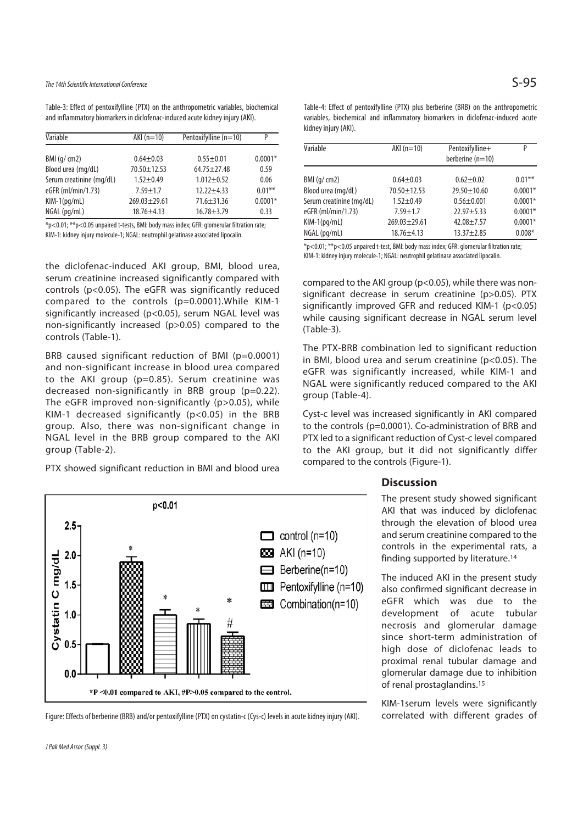# The 14th Scientific International Conference  $\mathsf{S}\text{-}95$

Table-3: Effect of pentoxifylline (PTX) on the anthropometric variables, biochemical and inflammatory biomarkers in diclofenac-induced acute kidney injury (AKI).

| Variable                 | $AKI(n=10)$        | Pentoxifylline (n=10) | P         |
|--------------------------|--------------------|-----------------------|-----------|
|                          |                    |                       |           |
| BMI (q/cm2)              | $0.64 + 0.03$      | $0.55 + 0.01$         | $0.0001*$ |
| Blood urea (mg/dL)       | $70.50 + 12.53$    | $64.75 + 27.48$       | 0.59      |
| Serum creatinine (mg/dL) | $1.52 + 0.49$      | $1.012 + 0.52$        | 0.06      |
| eGFR (ml/min/1.73)       | $7.59 + 1.7$       | $12.22 + 4.33$        | $0.01***$ |
| $KIM-1(pq/mL)$           | $269.03 \pm 29.61$ | $71.6 \pm 31.36$      | $0.0001*$ |
| NGAL (pg/mL)             | $18.76 \pm 4.13$   | $16.78 + 3.79$        | 0.33      |

\*p<0.01; \*\*p<0.05 unpaired t-tests, BMI: body mass index; GFR: glomerular filtration rate; KIM-1: kidney injury molecule-1; NGAL: neutrophil gelatinase associated lipocalin.

the diclofenac-induced AKI group, BMI, blood urea, serum creatinine increased significantly compared with controls (p<0.05). The eGFR was significantly reduced compared to the controls (p=0.0001).While KIM-1 significantly increased (p<0.05), serum NGAL level was non-significantly increased (p>0.05) compared to the controls (Table-1).

BRB caused significant reduction of BMI (p=0.0001) and non-significant increase in blood urea compared to the AKI group (p=0.85). Serum creatinine was decreased non-significantly in BRB group (p=0.22). The eGFR improved non-significantly (p>0.05), while KIM-1 decreased significantly (p<0.05) in the BRB group. Also, there was non-significant change in NGAL level in the BRB group compared to the AKI group (Table-2).

PTX showed significant reduction in BMI and blood urea

p<0.01

| Table-4: Effect of pentoxifylline (PTX) plus berberine (BRB) on the anthropometric |
|------------------------------------------------------------------------------------|
| variables, biochemical and inflammatory biomarkers in diclofenac-induced acute     |
| kidney injury (AKI).                                                               |

| Variable                 | $AKI(n=10)$      | Pentoxifylline+<br>berberine $(n=10)$ | P         |
|--------------------------|------------------|---------------------------------------|-----------|
| BMI(q/cm2)               | $0.64 \pm 0.03$  | $0.62 + 0.02$                         | $0.01***$ |
| Blood urea (mg/dL)       | $70.50 + 12.53$  | $29.50 + 10.60$                       | $0.0001*$ |
| Serum creatinine (mg/dL) | $1.52 + 0.49$    | $0.56 + 0.001$                        | $0.0001*$ |
| eGFR (ml/min/1.73)       | $7.59 + 1.7$     | $22.97 + 5.33$                        | $0.0001*$ |
| $KIM-1(pq/mL)$           | $269.03 + 29.61$ | $42.08 + 7.57$                        | $0.0001*$ |
| $NGAL$ (pg/mL)           | $18.76 \pm 4.13$ | $13.37 \pm 2.85$                      | $0.008*$  |

\*p<0.01; \*\*p<0.05 unpaired t-test, BMI: body mass index; GFR: glomerular filtration rate; KIM-1: kidney injury molecule-1; NGAL: neutrophil gelatinase associated lipocalin.

compared to the AKI group (p<0.05), while there was nonsignificant decrease in serum creatinine (p>0.05). PTX significantly improved GFR and reduced KIM-1 (p<0.05) while causing significant decrease in NGAL serum level (Table-3).

The PTX-BRB combination led to significant reduction in BMI, blood urea and serum creatinine (p<0.05). The eGFR was significantly increased, while KIM-1 and NGAL were significantly reduced compared to the AKI group (Table-4).

Cyst-c level was increased significantly in AKI compared to the controls (p=0.0001). Co-administration of BRB and PTX led to a significant reduction of Cyst-c level compared to the AKI group, but it did not significantly differ compared to the controls (Figure-1).

#### **Discussion**

The present study showed significant AKI that was induced by diclofenac through the elevation of blood urea and serum creatinine compared to the controls in the experimental rats, a finding supported by literature.14

The induced AKI in the present study also confirmed significant decrease in eGFR which was due to the development of acute tubular necrosis and glomerular damage since short-term administration of high dose of diclofenac leads to proximal renal tubular damage and glomerular damage due to inhibition of renal prostaglandins.15

KIM-1serum levels were significantly correlated with different grades of



 $\Box$  control (n=10)  $23$  AKI (n=10)

Figure: Effects of berberine (BRB) and/or pentoxifylline (PTX) on cystatin-c (Cys-c) levels in acute kidney injury (AKI).

 $2.5$ 

 $2.0$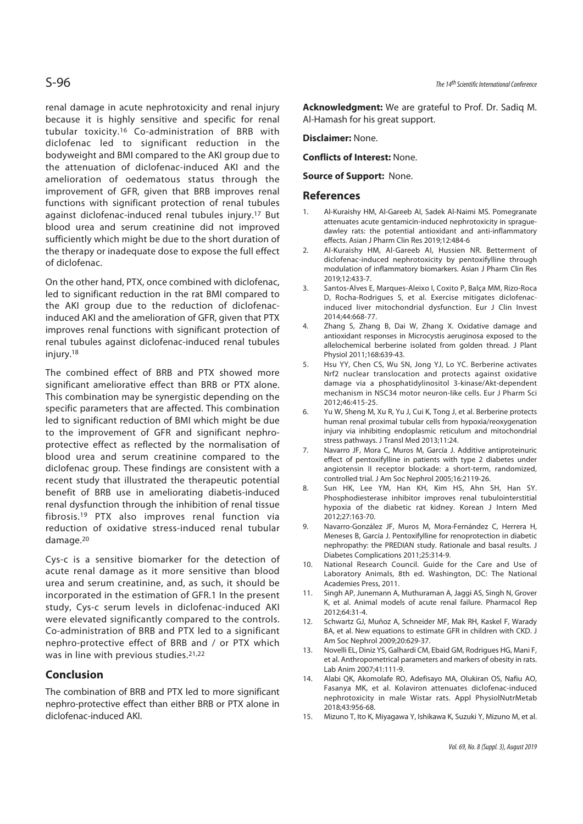renal damage in acute nephrotoxicity and renal injury because it is highly sensitive and specific for renal tubular toxicity.16 Co-administration of BRB with diclofenac led to significant reduction in the bodyweight and BMI compared to the AKI group due to the attenuation of diclofenac-induced AKI and the amelioration of oedematous status through the improvement of GFR, given that BRB improves renal functions with significant protection of renal tubules against diclofenac-induced renal tubules injury.17 But blood urea and serum creatinine did not improved sufficiently which might be due to the short duration of the therapy or inadequate dose to expose the full effect of diclofenac.

On the other hand, PTX, once combined with diclofenac, led to significant reduction in the rat BMI compared to the AKI group due to the reduction of diclofenacinduced AKI and the amelioration of GFR, given that PTX improves renal functions with significant protection of renal tubules against diclofenac-induced renal tubules injury.18

The combined effect of BRB and PTX showed more significant ameliorative effect than BRB or PTX alone. This combination may be synergistic depending on the specific parameters that are affected. This combination led to significant reduction of BMI which might be due to the improvement of GFR and significant nephroprotective effect as reflected by the normalisation of blood urea and serum creatinine compared to the diclofenac group. These findings are consistent with a recent study that illustrated the therapeutic potential benefit of BRB use in ameliorating diabetis-induced renal dysfunction through the inhibition of renal tissue fibrosis.19 PTX also improves renal function via reduction of oxidative stress-induced renal tubular damage.20

Cys-c is a sensitive biomarker for the detection of acute renal damage as it more sensitive than blood urea and serum creatinine, and, as such, it should be incorporated in the estimation of GFR.1 In the present study, Cys-c serum levels in diclofenac-induced AKI were elevated significantly compared to the controls. Co-administration of BRB and PTX led to a significant nephro-protective effect of BRB and / or PTX which was in line with previous studies.21,22

#### **Conclusion**

The combination of BRB and PTX led to more significant nephro-protective effect than either BRB or PTX alone in diclofenac-induced AKI.

**Acknowledgment:** We are grateful to Prof. Dr. Sadiq M. Al-Hamash for his great support.

**Disclaimer:** None.

**Conflicts of Interest:** None.

**Source of Support:** None.

#### **References**

- 1. Al-Kuraishy HM, Al-Gareeb AI, Sadek Al-Naimi MS. Pomegranate attenuates acute gentamicin-induced nephrotoxicity in spraguedawley rats: the potential antioxidant and anti-inflammatory effects. Asian J Pharm Clin Res 2019;12:484-6
- 2. Al-Kuraishy HM, Al-Gareeb AI, Hussien NR. Betterment of diclofenac-induced nephrotoxicity by pentoxifylline through modulation of inflammatory biomarkers. Asian J Pharm Clin Res 2019;12:433-7.
- 3. Santos-Alves E, Marques-Aleixo I, Coxito P, Balça MM, Rizo-Roca D, Rocha-Rodrigues S, et al. Exercise mitigates diclofenacinduced liver mitochondrial dysfunction. Eur J Clin Invest 2014;44:668-77.
- 4. Zhang S, Zhang B, Dai W, Zhang X. Oxidative damage and antioxidant responses in Microcystis aeruginosa exposed to the allelochemical berberine isolated from golden thread. J Plant Physiol 2011;168:639-43.
- 5. Hsu YY, Chen CS, Wu SN, Jong YJ, Lo YC. Berberine activates Nrf2 nuclear translocation and protects against oxidative damage via a phosphatidylinositol 3-kinase/Akt-dependent mechanism in NSC34 motor neuron-like cells. Eur J Pharm Sci 2012;46:415-25.
- 6. Yu W, Sheng M, Xu R, Yu J, Cui K, Tong J, et al. Berberine protects human renal proximal tubular cells from hypoxia/reoxygenation injury via inhibiting endoplasmic reticulum and mitochondrial stress pathways. J Transl Med 2013;11:24.
- 7. Navarro JF, Mora C, Muros M, García J. Additive antiproteinuric effect of pentoxifylline in patients with type 2 diabetes under angiotensin II receptor blockade: a short-term, randomized, controlled trial. J Am Soc Nephrol 2005;16:2119-26.
- 8. Sun HK, Lee YM, Han KH, Kim HS, Ahn SH, Han SY. Phosphodiesterase inhibitor improves renal tubulointerstitial hypoxia of the diabetic rat kidney. Korean J Intern Med 2012;27:163-70.
- 9. Navarro-González JF, Muros M, Mora-Fernández C, Herrera H, Meneses B, García J. Pentoxifylline for renoprotection in diabetic nephropathy: the PREDIAN study. Rationale and basal results. J Diabetes Complications 2011;25:314-9.
- 10. National Research Council. Guide for the Care and Use of Laboratory Animals, 8th ed. Washington, DC: The National Academies Press, 2011.
- 11. Singh AP, Junemann A, Muthuraman A, Jaggi AS, Singh N, Grover K, et al. Animal models of acute renal failure. Pharmacol Rep 2012;64:31-4.
- 12. Schwartz GJ, Muñoz A, Schneider MF, Mak RH, Kaskel F, Warady BA, et al. New equations to estimate GFR in children with CKD. J Am Soc Nephrol 2009;20:629-37.
- 13. Novelli EL, Diniz YS, Galhardi CM, Ebaid GM, Rodrigues HG, Mani F, et al. Anthropometrical parameters and markers of obesity in rats. Lab Anim 2007;41:111-9.
- 14. Alabi QK, Akomolafe RO, Adefisayo MA, Olukiran OS, Nafiu AO, Fasanya MK, et al. Kolaviron attenuates diclofenac-induced nephrotoxicity in male Wistar rats. Appl PhysiolNutrMetab 2018;43:956-68.
- 15. Mizuno T, Ito K, Miyagawa Y, Ishikawa K, Suzuki Y, Mizuno M, et al.